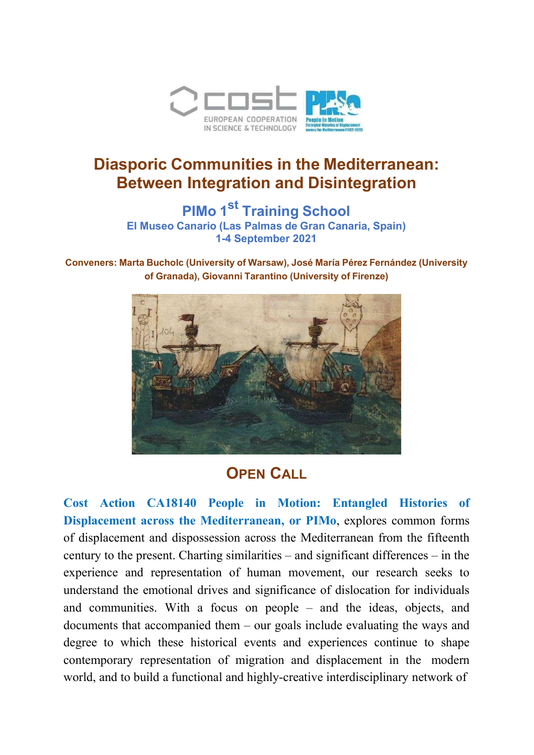

# Diasporic Communities in the Mediterranean: Between Integration and Disintegration

PIMo 1<sup>st</sup> Training School El Museo Canario (Las Palmas de Gran Canaria, Spain) 1-4 September 2021

Conveners: Marta Bucholc (University of Warsaw), José María Pérez Fernández (University of Granada), Giovanni Tarantino (University of Firenze)



# **OPEN CALL**

Cost Action CA18140 People in Motion: Entangled Histories of Displacement across the Mediterranean, or PIMo, explores common forms of displacement and dispossession across the Mediterranean from the fifteenth century to the present. Charting similarities – and significant differences – in the experience and representation of human movement, our research seeks to understand the emotional drives and significance of dislocation for individuals and communities. With a focus on people – and the ideas, objects, and documents that accompanied them – our goals include evaluating the ways and degree to which these historical events and experiences continue to shape contemporary representation of migration and displacement in the modern world, and to build a functional and highly-creative interdisciplinary network of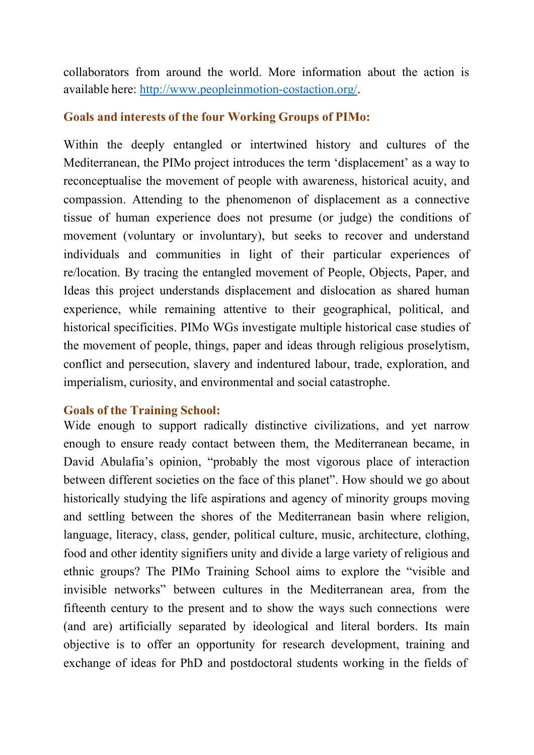collaborators from around the world. More information about the action is available here: http://www.peopleinmotion-costaction.org/.

### Goals and interests of the four Working Groups of PIMo:

Within the deeply entangled or intertwined history and cultures of the Mediterranean, the PIMo project introduces the term 'displacement' as a way to reconceptualise the movement of people with awareness, historical acuity, and compassion. Attending to the phenomenon of displacement as a connective tissue of human experience does not presume (or judge) the conditions of movement (voluntary or involuntary), but seeks to recover and understand individuals and communities in light of their particular experiences of re/location. By tracing the entangled movement of People, Objects, Paper, and Ideas this project understands displacement and dislocation as shared human experience, while remaining attentive to their geographical, political, and historical specificities. PIMo WGs investigate multiple historical case studies of the movement of people, things, paper and ideas through religious proselytism, conflict and persecution, slavery and indentured labour, trade, exploration, and imperialism, curiosity, and environmental and social catastrophe.

#### Goals of the Training School:

Wide enough to support radically distinctive civilizations, and yet narrow enough to ensure ready contact between them, the Mediterranean became, in David Abulafia's opinion, "probably the most vigorous place of interaction between different societies on the face of this planet". How should we go about historically studying the life aspirations and agency of minority groups moving and settling between the shores of the Mediterranean basin where religion, language, literacy, class, gender, political culture, music, architecture, clothing, food and other identity signifiers unity and divide a large variety of religious and ethnic groups? The PIMo Training School aims to explore the "visible and invisible networks" between cultures in the Mediterranean area, from the fifteenth century to the present and to show the ways such connections were (and are) artificially separated by ideological and literal borders. Its main objective is to offer an opportunity for research development, training and exchange of ideas for PhD and postdoctoral students working in the fields of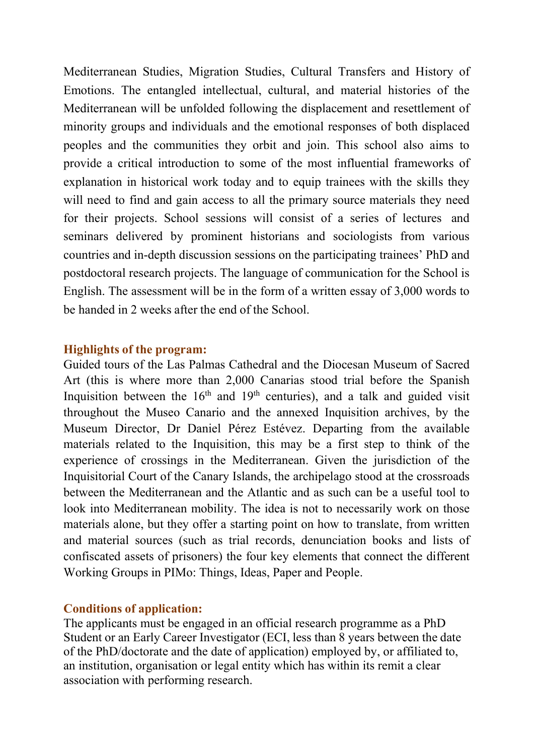Mediterranean Studies, Migration Studies, Cultural Transfers and History of Emotions. The entangled intellectual, cultural, and material histories of the Mediterranean will be unfolded following the displacement and resettlement of minority groups and individuals and the emotional responses of both displaced peoples and the communities they orbit and join. This school also aims to provide a critical introduction to some of the most influential frameworks of explanation in historical work today and to equip trainees with the skills they will need to find and gain access to all the primary source materials they need for their projects. School sessions will consist of a series of lectures and seminars delivered by prominent historians and sociologists from various countries and in-depth discussion sessions on the participating trainees' PhD and postdoctoral research projects. The language of communication for the School is English. The assessment will be in the form of a written essay of 3,000 words to be handed in 2 weeks after the end of the School.

#### Highlights of the program:

Guided tours of the Las Palmas Cathedral and the Diocesan Museum of Sacred Art (this is where more than 2,000 Canarias stood trial before the Spanish Inquisition between the  $16<sup>th</sup>$  and  $19<sup>th</sup>$  centuries), and a talk and guided visit throughout the Museo Canario and the annexed Inquisition archives, by the Museum Director, Dr Daniel Pérez Estévez. Departing from the available materials related to the Inquisition, this may be a first step to think of the experience of crossings in the Mediterranean. Given the jurisdiction of the Inquisitorial Court of the Canary Islands, the archipelago stood at the crossroads between the Mediterranean and the Atlantic and as such can be a useful tool to look into Mediterranean mobility. The idea is not to necessarily work on those materials alone, but they offer a starting point on how to translate, from written and material sources (such as trial records, denunciation books and lists of confiscated assets of prisoners) the four key elements that connect the different Working Groups in PIMo: Things, Ideas, Paper and People.

#### Conditions of application:

The applicants must be engaged in an official research programme as a PhD Student or an Early Career Investigator (ECI, less than 8 years between the date of the PhD/doctorate and the date of application) employed by, or affiliated to, an institution, organisation or legal entity which has within its remit a clear association with performing research.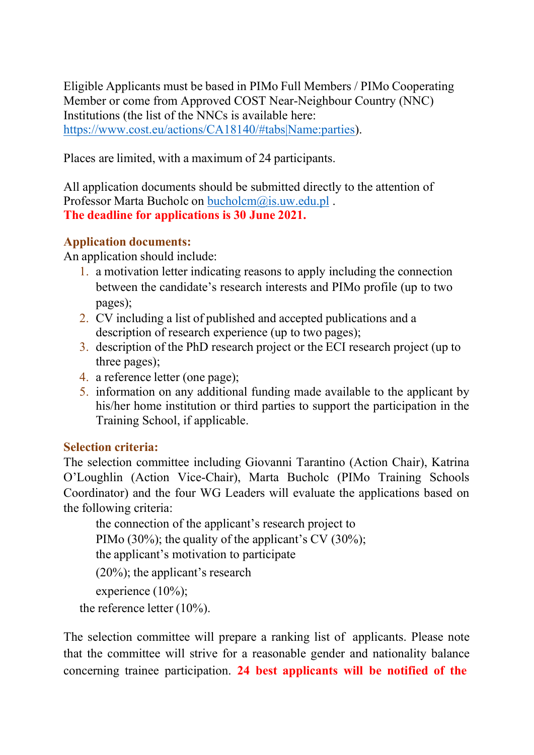Eligible Applicants must be based in PIMo Full Members / PIMo Cooperating Member or come from Approved COST Near-Neighbour Country (NNC) Institutions (the list of the NNCs is available here: https://www.cost.eu/actions/CA18140/#tabs|Name:parties).

Places are limited, with a maximum of 24 participants.

All application documents should be submitted directly to the attention of Professor Marta Bucholc on bucholcm@is.uw.edu.pl . The deadline for applications is 30 June 2021.

# Application documents:

An application should include:

- 1. a motivation letter indicating reasons to apply including the connection between the candidate's research interests and PIMo profile (up to two pages);
- 2. CV including a list of published and accepted publications and a description of research experience (up to two pages);
- 3. description of the PhD research project or the ECI research project (up to three pages);
- 4. a reference letter (one page);
- 5. information on any additional funding made available to the applicant by his/her home institution or third parties to support the participation in the Training School, if applicable.

## Selection criteria:

The selection committee including Giovanni Tarantino (Action Chair), Katrina O'Loughlin (Action Vice-Chair), Marta Bucholc (PIMo Training Schools Coordinator) and the four WG Leaders will evaluate the applications based on the following criteria:

the connection of the applicant's research project to PIMo (30%); the quality of the applicant's CV (30%); the applicant's motivation to participate (20%); the applicant's research

experience (10%);

the reference letter (10%).

The selection committee will prepare a ranking list of applicants. Please note that the committee will strive for a reasonable gender and nationality balance concerning trainee participation. 24 best applicants will be notified of the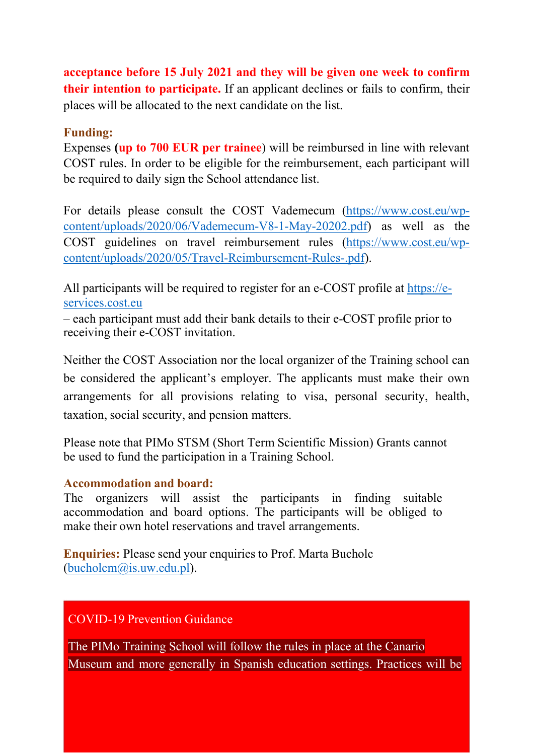acceptance before 15 July 2021 and they will be given one week to confirm their intention to participate. If an applicant declines or fails to confirm, their places will be allocated to the next candidate on the list.

## Funding:

Expenses (up to 700 EUR per trainee) will be reimbursed in line with relevant COST rules. In order to be eligible for the reimbursement, each participant will be required to daily sign the School attendance list.

For details please consult the COST Vademecum (https://www.cost.eu/wpcontent/uploads/2020/06/Vademecum-V8-1-May-20202.pdf) as well as the COST guidelines on travel reimbursement rules (https://www.cost.eu/wpcontent/uploads/2020/05/Travel-Reimbursement-Rules-.pdf).

All participants will be required to register for an e-COST profile at https://eservices.cost.eu

– each participant must add their bank details to their e-COST profile prior to receiving their e-COST invitation.

Neither the COST Association nor the local organizer of the Training school can be considered the applicant's employer. The applicants must make their own arrangements for all provisions relating to visa, personal security, health, taxation, social security, and pension matters.

Please note that PIMo STSM (Short Term Scientific Mission) Grants cannot be used to fund the participation in a Training School.

## Accommodation and board:

The organizers will assist the participants in finding suitable accommodation and board options. The participants will be obliged to make their own hotel reservations and travel arrangements.

Enquiries: Please send your enquiries to Prof. Marta Bucholc (bucholcm@is.uw.edu.pl).

COVID-19 Prevention Guidance

The PIMo Training School will follow the rules in place at the Canario Museum and more generally in Spanish education settings. Practices will be